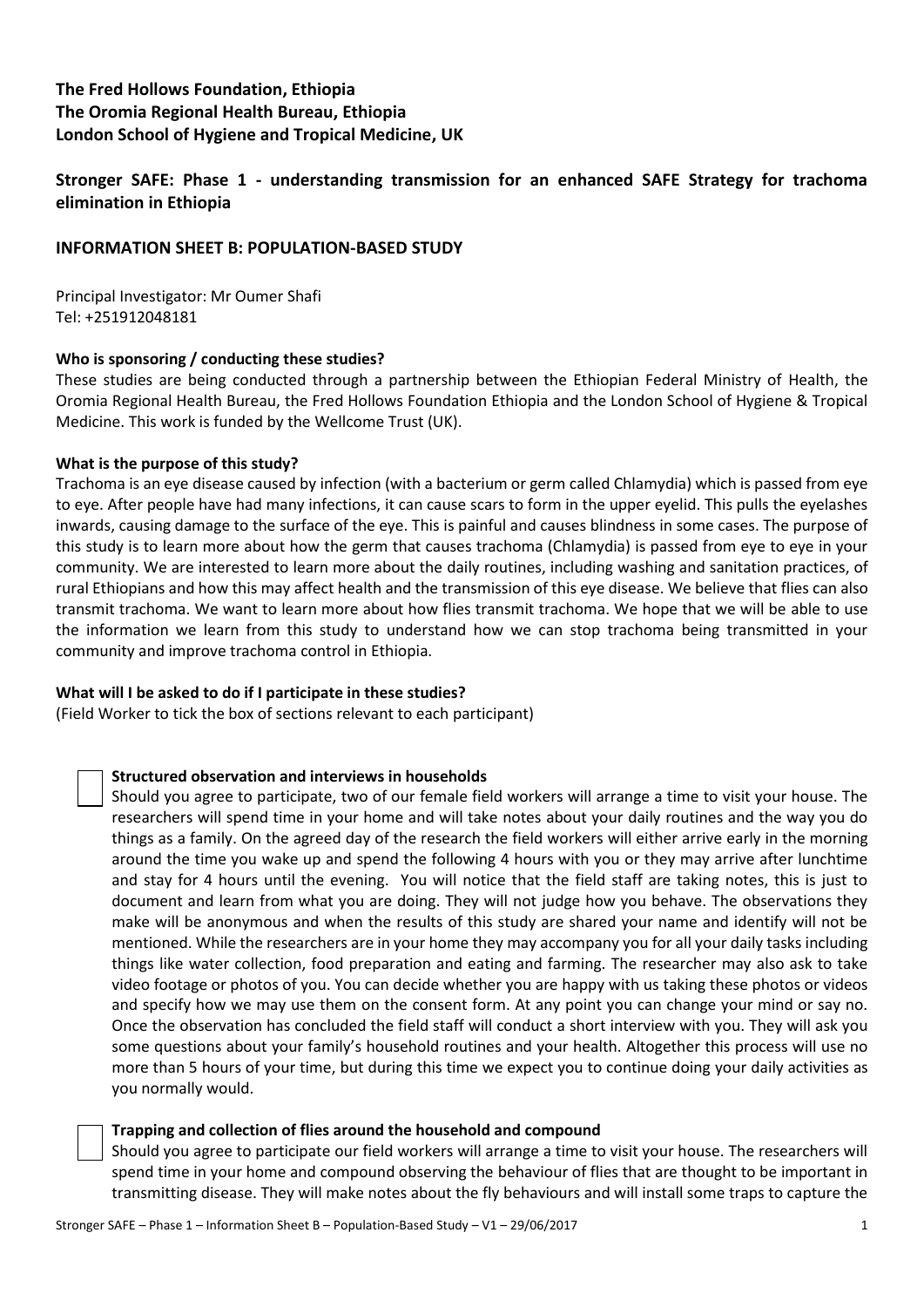# **The Fred Hollows Foundation, Ethiopia The Oromia Regional Health Bureau, Ethiopia London School of Hygiene and Tropical Medicine, UK**

**Stronger SAFE: Phase 1 - understanding transmission for an enhanced SAFE Strategy for trachoma elimination in Ethiopia**

# **INFORMATION SHEET B: POPULATION-BASED STUDY**

Principal Investigator: Mr Oumer Shafi Tel: +251912048181

# **Who is sponsoring / conducting these studies?**

These studies are being conducted through a partnership between the Ethiopian Federal Ministry of Health, the Oromia Regional Health Bureau, the Fred Hollows Foundation Ethiopia and the London School of Hygiene & Tropical Medicine. This work is funded by the Wellcome Trust (UK).

### **What is the purpose of this study?**

Trachoma is an eye disease caused by infection (with a bacterium or germ called Chlamydia) which is passed from eye to eye. After people have had many infections, it can cause scars to form in the upper eyelid. This pulls the eyelashes inwards, causing damage to the surface of the eye. This is painful and causes blindness in some cases. The purpose of this study is to learn more about how the germ that causes trachoma (Chlamydia) is passed from eye to eye in your community. We are interested to learn more about the daily routines, including washing and sanitation practices, of rural Ethiopians and how this may affect health and the transmission of this eye disease. We believe that flies can also transmit trachoma. We want to learn more about how flies transmit trachoma. We hope that we will be able to use the information we learn from this study to understand how we can stop trachoma being transmitted in your community and improve trachoma control in Ethiopia.

# **What will I be asked to do if I participate in these studies?**

(Field Worker to tick the box of sections relevant to each participant)

# **Structured observation and interviews in households**

Should you agree to participate, two of our female field workers will arrange a time to visit your house. The researchers will spend time in your home and will take notes about your daily routines and the way you do things as a family. On the agreed day of the research the field workers will either arrive early in the morning around the time you wake up and spend the following 4 hours with you or they may arrive after lunchtime and stay for 4 hours until the evening. You will notice that the field staff are taking notes, this is just to document and learn from what you are doing. They will not judge how you behave. The observations they make will be anonymous and when the results of this study are shared your name and identify will not be mentioned. While the researchers are in your home they may accompany you for all your daily tasks including things like water collection, food preparation and eating and farming. The researcher may also ask to take video footage or photos of you. You can decide whether you are happy with us taking these photos or videos and specify how we may use them on the consent form. At any point you can change your mind or say no. Once the observation has concluded the field staff will conduct a short interview with you. They will ask you some questions about your family's household routines and your health. Altogether this process will use no more than 5 hours of your time, but during this time we expect you to continue doing your daily activities as you normally would.

### **Trapping and collection of flies around the household and compound**

Should you agree to participate our field workers will arrange a time to visit your house. The researchers will spend time in your home and compound observing the behaviour of flies that are thought to be important in transmitting disease. They will make notes about the fly behaviours and will install some traps to capture the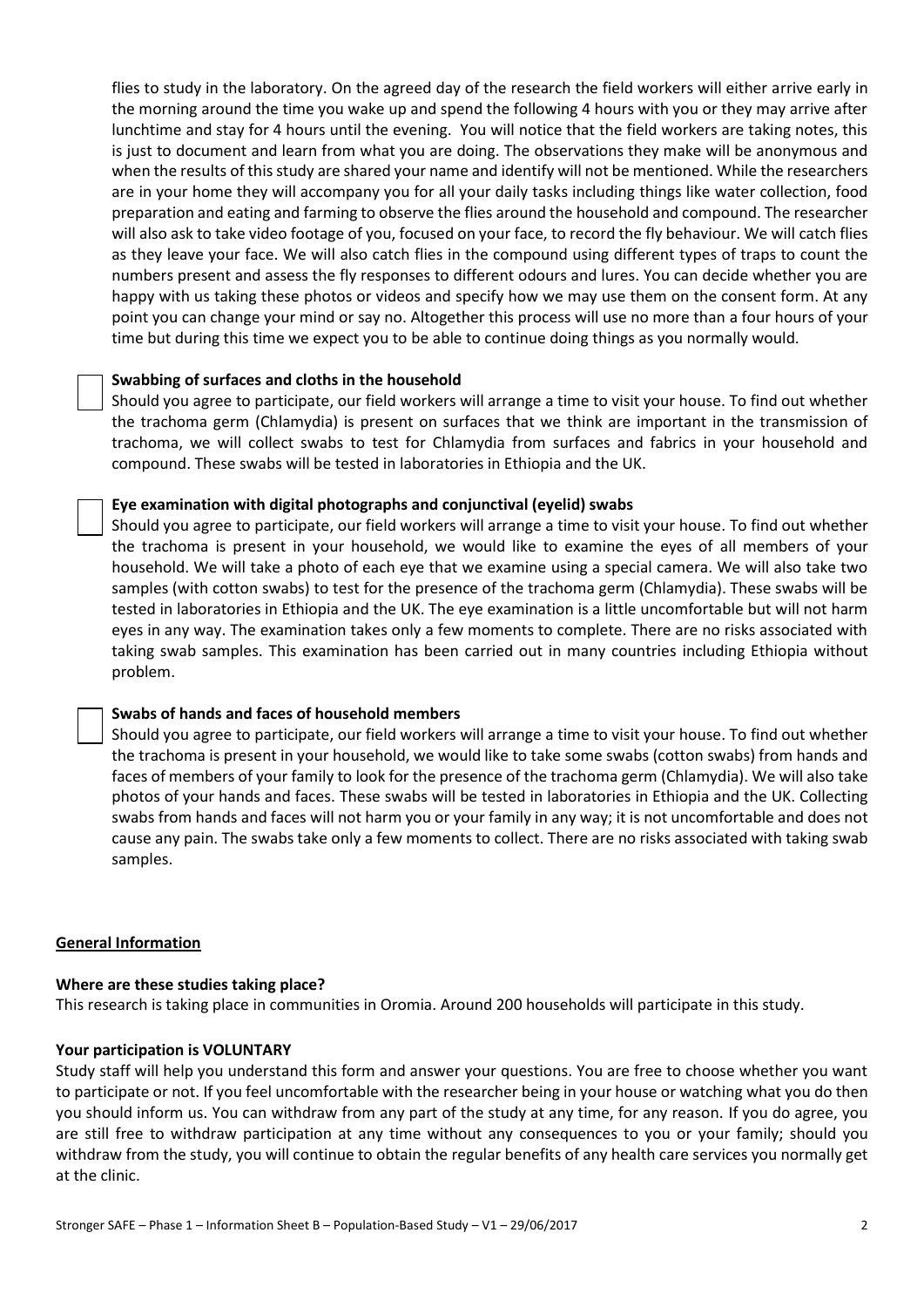flies to study in the laboratory. On the agreed day of the research the field workers will either arrive early in the morning around the time you wake up and spend the following 4 hours with you or they may arrive after lunchtime and stay for 4 hours until the evening. You will notice that the field workers are taking notes, this is just to document and learn from what you are doing. The observations they make will be anonymous and when the results of this study are shared your name and identify will not be mentioned. While the researchers are in your home they will accompany you for all your daily tasks including things like water collection, food preparation and eating and farming to observe the flies around the household and compound. The researcher will also ask to take video footage of you, focused on your face, to record the fly behaviour. We will catch flies as they leave your face. We will also catch flies in the compound using different types of traps to count the numbers present and assess the fly responses to different odours and lures. You can decide whether you are happy with us taking these photos or videos and specify how we may use them on the consent form. At any point you can change your mind or say no. Altogether this process will use no more than a four hours of your time but during this time we expect you to be able to continue doing things as you normally would.

#### **Swabbing of surfaces and cloths in the household**

Should you agree to participate, our field workers will arrange a time to visit your house. To find out whether the trachoma germ (Chlamydia) is present on surfaces that we think are important in the transmission of trachoma, we will collect swabs to test for Chlamydia from surfaces and fabrics in your household and compound. These swabs will be tested in laboratories in Ethiopia and the UK.

#### **Eye examination with digital photographs and conjunctival (eyelid) swabs**

Should you agree to participate, our field workers will arrange a time to visit your house. To find out whether the trachoma is present in your household, we would like to examine the eyes of all members of your household. We will take a photo of each eye that we examine using a special camera. We will also take two samples (with cotton swabs) to test for the presence of the trachoma germ (Chlamydia). These swabs will be tested in laboratories in Ethiopia and the UK. The eye examination is a little uncomfortable but will not harm eyes in any way. The examination takes only a few moments to complete. There are no risks associated with taking swab samples. This examination has been carried out in many countries including Ethiopia without problem.

#### **Swabs of hands and faces of household members**

Should you agree to participate, our field workers will arrange a time to visit your house. To find out whether the trachoma is present in your household, we would like to take some swabs (cotton swabs) from hands and faces of members of your family to look for the presence of the trachoma germ (Chlamydia). We will also take photos of your hands and faces. These swabs will be tested in laboratories in Ethiopia and the UK. Collecting swabs from hands and faces will not harm you or your family in any way; it is not uncomfortable and does not cause any pain. The swabs take only a few moments to collect. There are no risks associated with taking swab samples.

#### **General Information**

#### **Where are these studies taking place?**

This research is taking place in communities in Oromia. Around 200 households will participate in this study.

#### **Your participation is VOLUNTARY**

Study staff will help you understand this form and answer your questions. You are free to choose whether you want to participate or not. If you feel uncomfortable with the researcher being in your house or watching what you do then you should inform us. You can withdraw from any part of the study at any time, for any reason. If you do agree, you are still free to withdraw participation at any time without any consequences to you or your family; should you withdraw from the study, you will continue to obtain the regular benefits of any health care services you normally get at the clinic.